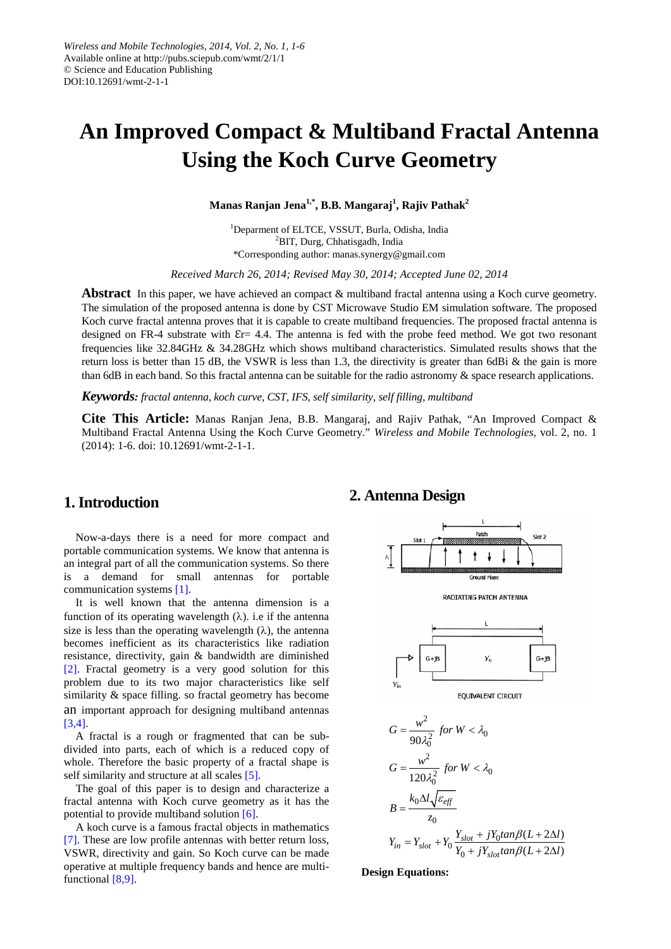# **An Improved Compact & Multiband Fractal Antenna Using the Koch Curve Geometry**

**Manas Ranjan Jena1,\*, B.B. Mangaraj 1 , Rajiv Pathak2**

<sup>1</sup>Deparment of ELTCE, VSSUT, Burla, Odisha, India <sup>2</sup>BIT, Durg, Chhatisgadh, India \*Corresponding author: manas.synergy@gmail.com

*Received March 26, 2014; Revised May 30, 2014; Accepted June 02, 2014*

**Abstract** In this paper, we have achieved an compact & multiband fractal antenna using a Koch curve geometry. The simulation of the proposed antenna is done by CST Microwave Studio EM simulation software. The proposed Koch curve fractal antenna proves that it is capable to create multiband frequencies. The proposed fractal antenna is designed on FR-4 substrate with  $Er= 4.4$ . The antenna is fed with the probe feed method. We got two resonant frequencies like 32.84GHz & 34.28GHz which shows multiband characteristics. Simulated results shows that the return loss is better than 15 dB, the VSWR is less than 1.3, the directivity is greater than 6dBi  $\&$  the gain is more than 6dB in each band. So this fractal antenna can be suitable for the radio astronomy & space research applications.

*Keywords: fractal antenna, koch curve, CST, IFS, self similarity, self filling, multiband*

**Cite This Article:** Manas Ranjan Jena, B.B. Mangaraj, and Rajiv Pathak, "An Improved Compact & Multiband Fractal Antenna Using the Koch Curve Geometry." *Wireless and Mobile Technologies*, vol. 2, no. 1 (2014): 1-6. doi: 10.12691/wmt-2-1-1.

# **1. Introduction**

Now-a-days there is a need for more compact and portable communication systems. We know that antenna is an integral part of all the communication systems. So there is a demand for small antennas for portable communication systems [\[1\].](#page-5-0)

It is well known that the antenna dimension is a function of its operating wavelength  $(\lambda)$ . i.e if the antenna size is less than the operating wavelength  $(\lambda)$ , the antenna becomes inefficient as its characteristics like radiation resistance, directivity, gain & bandwidth are diminished [\[2\].](#page-5-1) Fractal geometry is a very good solution for this problem due to its two major characteristics like self similarity & space filling. so fractal geometry has become an important approach for designing multiband antennas [\[3,4\].](#page-5-2)

A fractal is a rough or fragmented that can be subdivided into parts, each of which is a reduced copy of whole. Therefore the basic property of a fractal shape is self similarity and structure at all scales [\[5\].](#page-5-3)

The goal of this paper is to design and characterize a fractal antenna with Koch curve geometry as it has the potential to provide multiband solution [\[6\].](#page-5-4)

A koch curve is a famous fractal objects in mathematics [\[7\].](#page-5-5) These are low profile antennas with better return loss, VSWR, directivity and gain. So Koch curve can be made operative at multiple frequency bands and hence are multifunctional [\[8,9\].](#page-5-6)

#### **2. Antenna Design**



#### **Design Equations:**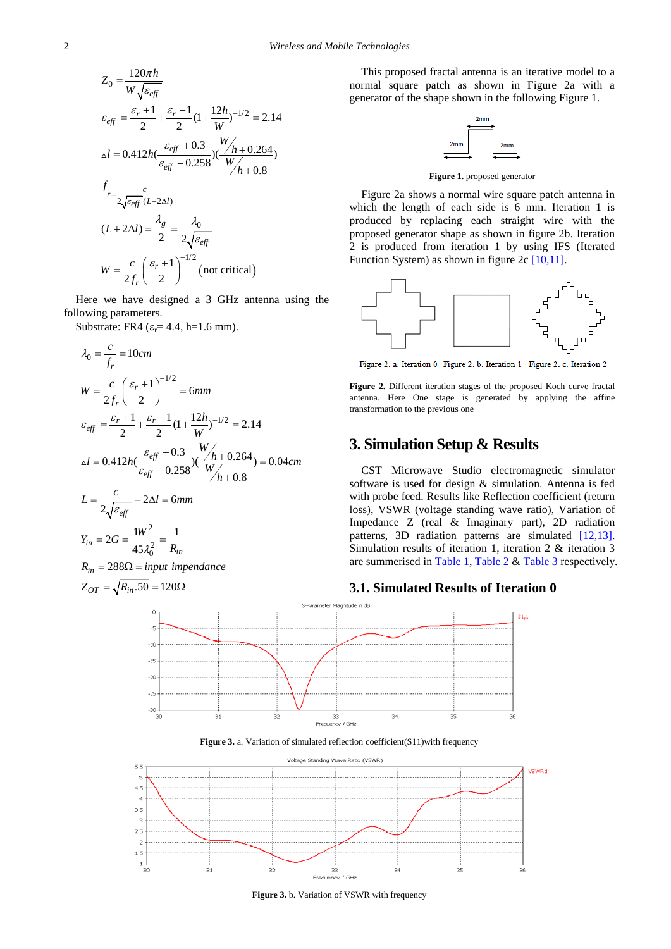$$
Z_0 = \frac{120\pi h}{W\sqrt{\varepsilon_{eff}}}
$$
  
\n
$$
\varepsilon_{eff} = \frac{\varepsilon_r + 1}{2} + \frac{\varepsilon_r - 1}{2} (1 + \frac{12h}{W})^{-1/2} = 2.14
$$
  
\n
$$
\Delta l = 0.412h(\frac{\varepsilon_{eff} + 0.3}{\varepsilon_{eff} - 0.258})(\frac{W_h + 0.264}{W_h + 0.8})
$$
  
\n
$$
f_{r = \frac{c}{2\sqrt{\varepsilon_{eff}}(L + 2\Delta l)}}
$$
  
\n
$$
(L + 2\Delta l) = \frac{\lambda_g}{2} = \frac{\lambda_0}{2\sqrt{\varepsilon_{eff}}}
$$
  
\n
$$
W = \frac{c}{2f_r} (\frac{\varepsilon_r + 1}{2})^{-1/2}
$$
 (not critical)

Here we have designed a 3 GHz antenna using the following parameters.

Substrate: FR4 ( $\varepsilon_r$ = 4.4, h=1.6 mm).

$$
\lambda_0 = \frac{c}{f_r} = 10cm
$$
\n
$$
W = \frac{c}{2f_r} \left(\frac{\varepsilon_r + 1}{2}\right)^{-1/2} = 6mm
$$
\n
$$
\varepsilon_{eff} = \frac{\varepsilon_r + 1}{2} + \frac{\varepsilon_r - 1}{2} (1 + \frac{12h}{W})^{-1/2} = 2.14
$$
\n
$$
\Delta l = 0.412h \frac{\varepsilon_{eff} + 0.3}{\varepsilon_{eff} - 0.258} \left(\frac{V_h + 0.264}{W_h + 0.8}\right) = 0.04cm
$$
\n
$$
L = \frac{c}{2\sqrt{\varepsilon_{eff}}} - 2\Delta l = 6mm
$$
\n
$$
Y_{in} = 2G = \frac{1W^2}{45\lambda_0^2} = \frac{1}{R_{in}}
$$
\n
$$
R_{in} = 288\Omega = input \, impedance
$$
\n
$$
Z_{OT} = \sqrt{R_{in}.50} = 120\Omega
$$

This proposed fractal antenna is an iterative model to a normal square patch as shown in Figure 2a with a generator of the shape shown in the following Figure 1.



**Figure 1.** proposed generator

Figure 2a shows a normal wire square patch antenna in which the length of each side is 6 mm. Iteration 1 is produced by replacing each straight wire with the proposed generator shape as shown in figure 2b. Iteration 2 is produced from iteration 1 by using IFS (Iterated Function System) as shown in figure 2c [\[10,11\].](#page-5-7)



Figure 2. a. Iteration 0 Figure 2. b. Iteration 1 Figure 2. c. Iteration 2

**Figure 2.** Different iteration stages of the proposed Koch curve fractal antenna. Here One stage is generated by applying the affine transformation to the previous one

## **3. Simulation Setup & Results**

CST Microwave Studio electromagnetic simulator software is used for design & simulation. Antenna is fed with probe feed. Results like Reflection coefficient (return loss), VSWR (voltage standing wave ratio), Variation of Impedance Z (real & Imaginary part), 2D radiation patterns, 3D radiation patterns are simulated [\[12,13\].](#page-5-8) Simulation results of iteration 1, iteration 2 & iteration 3 are summerised in [Table 1,](#page-2-0) [Table 2](#page-3-0) [& Table 3](#page-4-0) respectively.

#### **3.1. Simulated Results of Iteration 0**







**Figure 3.** b. Variation of VSWR with frequency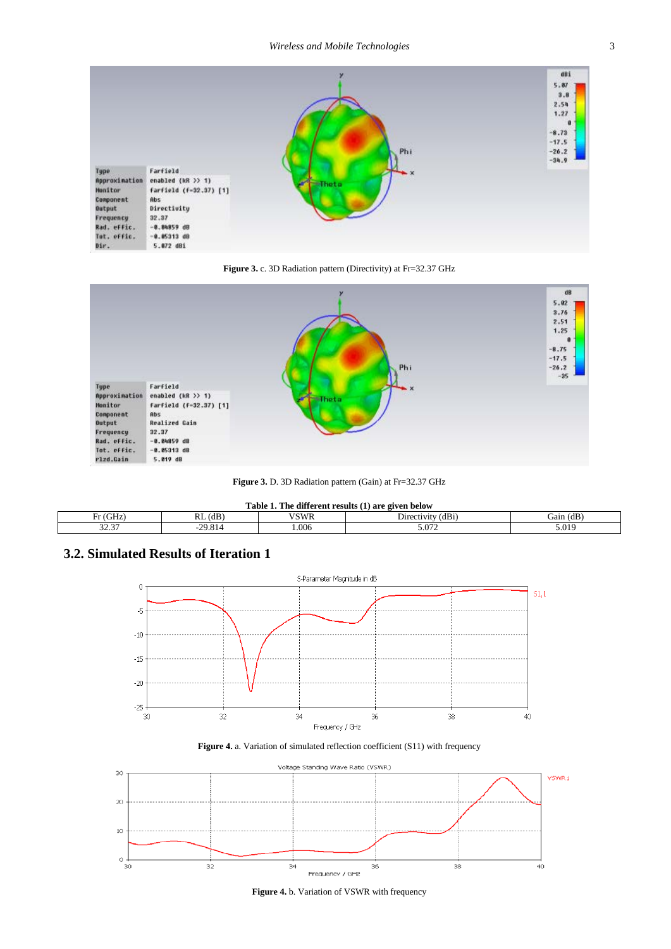

**Figure 3.** c. 3D Radiation pattern (Directivity) at Fr=32.37 GHz



**Figure 3.** D. 3D Radiation pattern (Gain) at Fr=32.37 GHz

<span id="page-2-0"></span>

| The different results (1) are given below<br><b>Table</b> |                    |             |                      |                           |  |  |
|-----------------------------------------------------------|--------------------|-------------|----------------------|---------------------------|--|--|
| (GHz<br>. .                                               | $RL$ (dB)          | <b>VSWR</b> | (dBi`<br>Directivity | $\mathbf{m}$<br>Gain (dB) |  |  |
| 22.27<br>ال. ب ک                                          | 29.81 <sub>'</sub> | 0.006       | 5.072                | 5.019                     |  |  |

## **3.2. Simulated Results of Iteration 1**







**Figure 4.** b. Variation of VSWR with frequency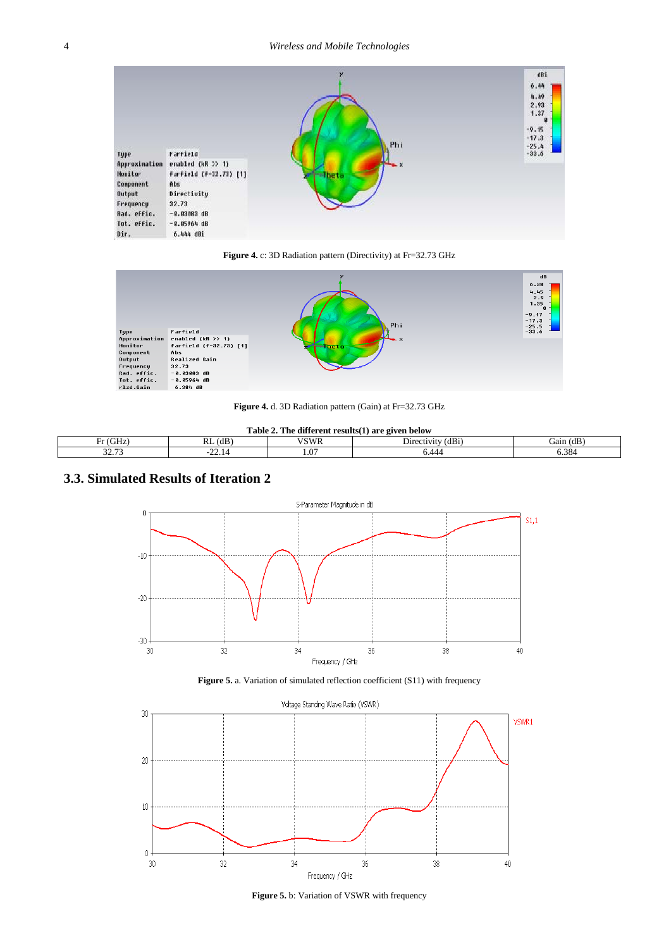





**Figure 4.** d. 3D Radiation pattern (Gain) at Fr=32.73 GHz

**Table 2. The different results(1) are given below**

<span id="page-3-0"></span>

| $\sim$ $\sim$ $\sim$<br>-<br>. ≀tiH≏ | 1 <sub>D</sub><br>$\sim$ $\sim$<br>. (dr<br>NL | $T$ $T$ $T$ $T$ $T$ $T$ | $\sim$<br>$\sim$<br>(dB1 | $\mathbf{m}$<br>Jain.<br>(dB |
|--------------------------------------|------------------------------------------------|-------------------------|--------------------------|------------------------------|
| 22.72<br>ر                           | $\sim$<br>$- - - -$                            | 1.0                     |                          | 5.384                        |

# **3.3. Simulated Results of Iteration 2**







**Figure 5.** b: Variation of VSWR with frequency

 $\mathsf{r}$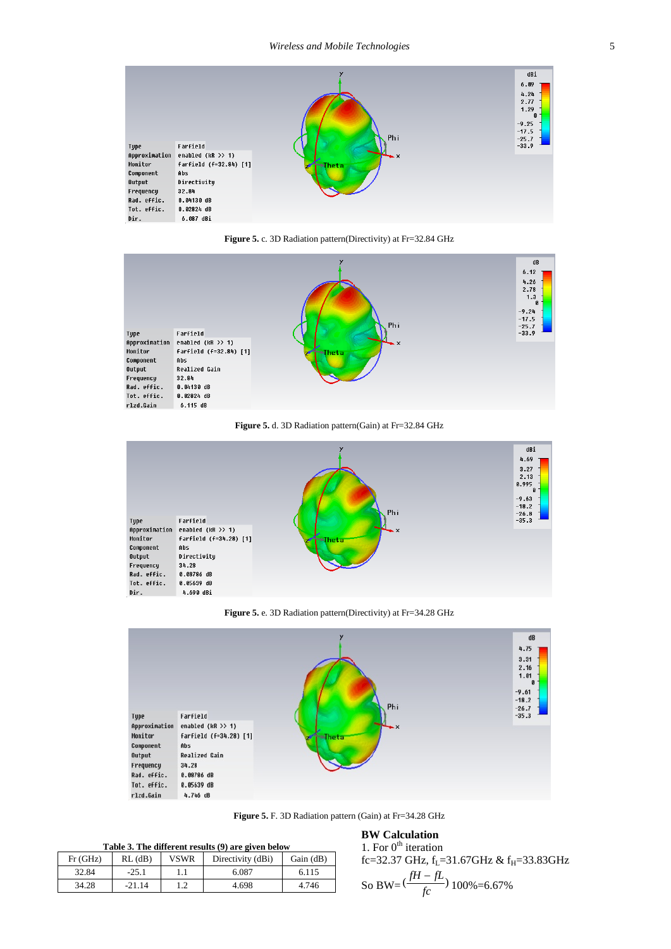





**Figure 5.** d. 3D Radiation pattern(Gain) at Fr=32.84 GHz



**Figure 5.** e. 3D Radiation pattern(Directivity) at Fr=34.28 GHz



**Figure 5.** F. 3D Radiation pattern (Gain) at Fr=34.28 GHz

#### **Table 3. The different results (9) are given below**

<span id="page-4-0"></span>

| Fr(GHz) | $RL$ ( $dB$ ) | VSWR | Directivity (dBi) | Gain (dB) |
|---------|---------------|------|-------------------|-----------|
| 32.84   | $-25.1$       |      | 6.087             | 6.115     |
| 34.28   | $-21.14$      |      | 4.698             | 4.746     |

#### **BW Calculation** 1. For  $0^{\text{th}}$  iteration

fc=32.37 GHz, f<sub>L</sub>=31.67GHz & f<sub>H</sub>=33.83GHz So BW= $\left(\frac{fH - fL}{fc}\right)$  100%=6.67%